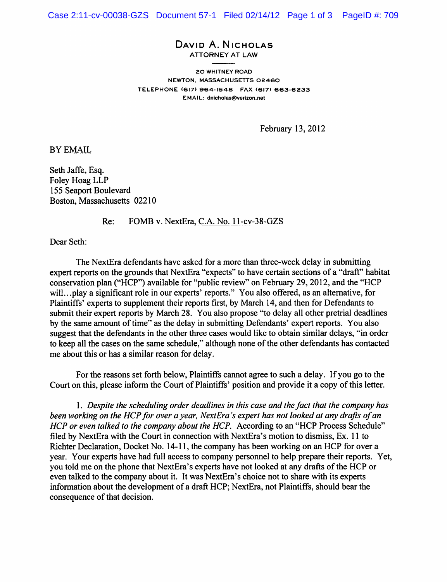## David A. Nicholas ATTORNEY AT LAW

20 WHITNEY ROAD NEWTON, MASSACHUSETTS 02460 TELEPHONE (617) 964-1548 FAX (617) 663-6233 EMAIL: dnicholas@verizon.net

February 13,2012

BY EMAIL

Seth Jaffe, Esq. Foley Hoag LLP 155 Seaport Boulevard Boston, Massachusetts 02210

Re: FOMB v. NextEra, C.A. No. 11-cv-38-GZS

Dear Seth:

The NextEra defendants have asked for a more than three-week delay in submitting expert reports on the grounds that NextEra "expects" to have certain sections of a "draft" habitat conservation plan ("HCP") available for "public review" on February 29, 2012, and the "HCP will...play a significant role in our experts' reports." You also offered, as an alternative, for Plaintiffs' experts to supplement their reports first, by March 14, and then for Defendants to submit their expert reports by March 28. You also propose "to delay all other pretrial deadlines by the same amount of time" as the delay in submitting Defendants' expert reports. You also suggest that the defendants in the other three cases would like to obtain similar delays, "in order to keep all the cases on the same schedule," although none of the other defendants has contacted me about this or has a similar reason for delay.

For the reasons set forth below, Plaintiffs cannot agree to such a delay. If you go to the Court on this, please inform the Court of Plaintiffs' position and provide it a copy of this letter.

1. Despite the scheduling order deadlines in this case and the fact that the company has been working on the HCP for over a year, NextEra's expert has not looked at any drafts of an HCP or even talked to the company about the HCP. According to an "HCP Process Schedule" filed by NextEra with the Court in connection with NextEra's motion to dismiss, Ex. 11 to Richter Declaration, Docket No. 14-11, the company has been working on an HCP for over a year. Your experts have had full access to company personnel to help prepare their reports. Yet, you told me on the phone that NextEra's experts have not looked at any drafts of the HCP or even talked to the company about it. It was NextEra's choice not to share with its experts information about the development of a draft HCP; NextEra, not Plaintiffs, should bear the consequence of that decision.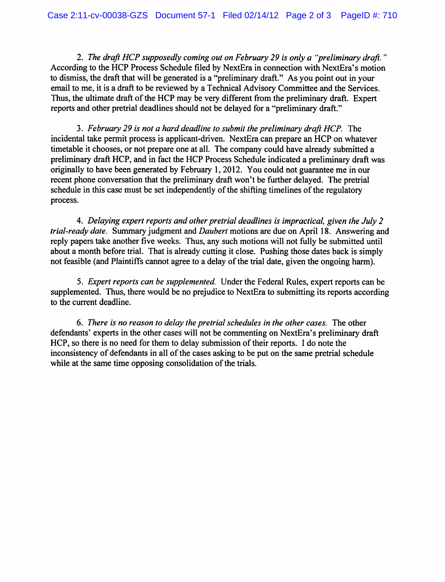2. The draft HCP supposedly coming out on February 29 is only a "preliminary draft. " According to the HCP Process Schedule filed by NextEra in connection with NextEra's motion to dismiss, the draft that will be generated is a "preliminary draft." As you point out in your email to me, it is a draft to be reviewed by a Technical Advisory Committee and the Services. Thus, the ultimate draft of the HCP may be very different from the preliminary draft. Expert reports and other pretrial deadlines should not be delayed for a "preliminary draft."

3. February 29 is not a hard deadline to submit the preliminary draft HCP. The incidental take permit process is applicant-driven. NextEra can prepare an HCP on whatever timetable it chooses, or not prepare one at all. The company could have already submitted a preliminary draft HCP, and in fact the HCP Process Schedule indicated a preliminary draft was originally to have been generated by February 1, 2012. You could not guarantee me in our recent phone conversation that the preliminary draft won't be further delayed. The pretrial schedule in this case must be set independently of the shifting timelines of the regulatory process.

4. Delaying expert reports and other pretrial deadlines is impractical, given the July 2 trial-ready date. Summary judgment and Daubert motions are due on April 18. Answering and reply papers take another five weeks. Thus, any such motions will not fully be submitted until about a month before trial. That is already cutting it close. Pushing those dates back is simply not feasible (and Plaintiffs cannot agree to a delay of the trial date, given the ongoing harm).

5. Expert reports can be supplemented. Under the Federal Rules, expert reports can be supplemented. Thus, there would be no prejudice to NextEra to submitting its reports according to the current deadline.

6. There is no reason to delay the pretrial schedules in the other cases. The other defendants' experts in the other cases will not be commenting on NextEra's preliminary draft HCP, so there is no need for them to delay submission of their reports. I do note the inconsistency of defendants in all of the cases asking to be put on the same pretrial schedule while at the same time opposing consolidation of the trials.